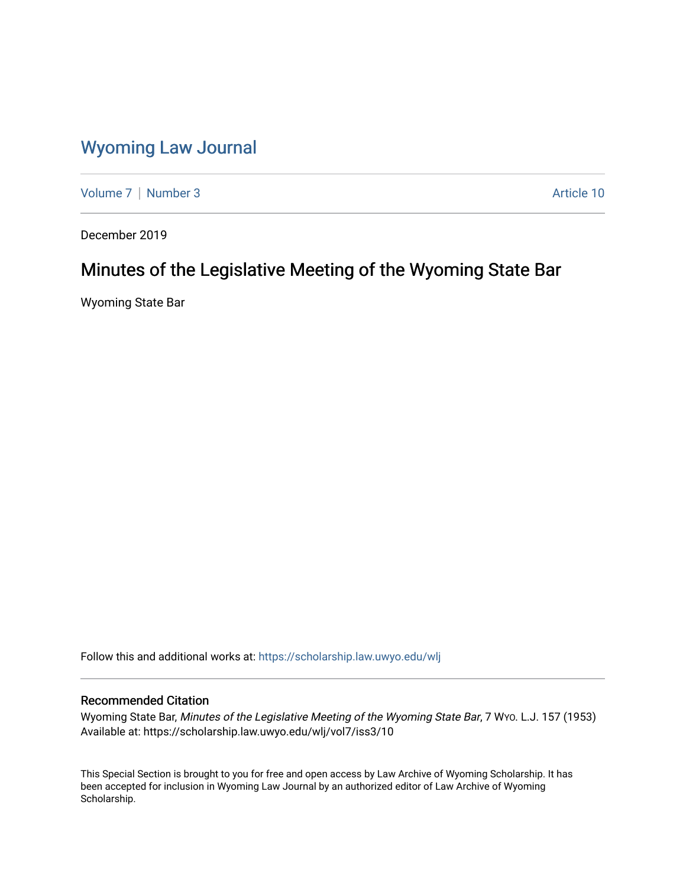## [Wyoming Law Journal](https://scholarship.law.uwyo.edu/wlj)

[Volume 7](https://scholarship.law.uwyo.edu/wlj/vol7) | [Number 3](https://scholarship.law.uwyo.edu/wlj/vol7/iss3) Article 10

December 2019

# Minutes of the Legislative Meeting of the Wyoming State Bar

Wyoming State Bar

Follow this and additional works at: [https://scholarship.law.uwyo.edu/wlj](https://scholarship.law.uwyo.edu/wlj?utm_source=scholarship.law.uwyo.edu%2Fwlj%2Fvol7%2Fiss3%2F10&utm_medium=PDF&utm_campaign=PDFCoverPages) 

### Recommended Citation

Wyoming State Bar, Minutes of the Legislative Meeting of the Wyoming State Bar, 7 WYO. L.J. 157 (1953) Available at: https://scholarship.law.uwyo.edu/wlj/vol7/iss3/10

This Special Section is brought to you for free and open access by Law Archive of Wyoming Scholarship. It has been accepted for inclusion in Wyoming Law Journal by an authorized editor of Law Archive of Wyoming Scholarship.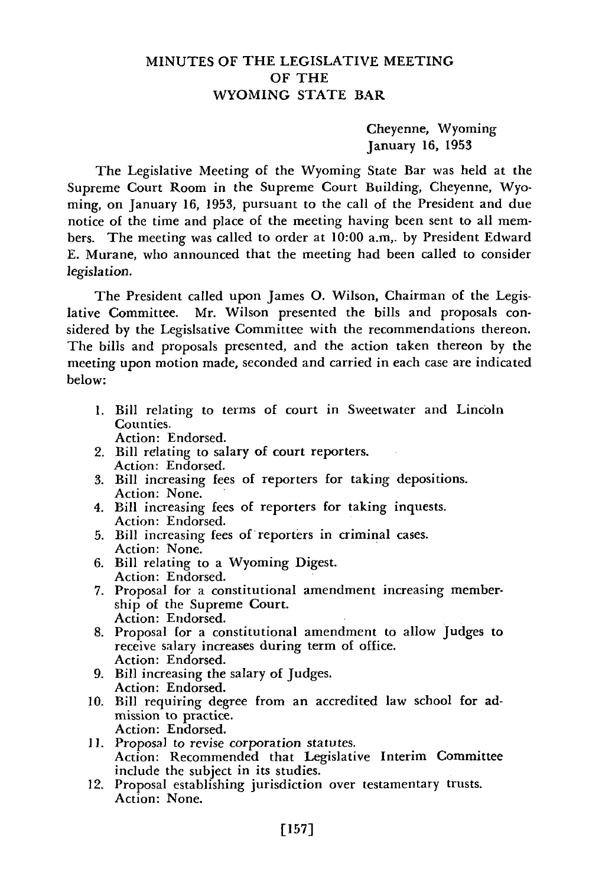### MINUTES OF THE LEGISLATIVE MEETING OF THE WYOMING STATE BAR

Cheyenne, Wyoming January 16, 1953

The Legislative Meeting of the Wyoming State Bar was held at the Supreme Court Room in the Supreme Court Building, Cheyenne, Wyoming, on January 16, 1953, pursuant to the call of the President and due notice of the time and place of the meeting having been sent to all members. The meeting was called to order at 10:00 a.m,. by President Edward E. Murane, who announced that the meeting had been called to consider legislation.

The President called upon James **0.** Wilson, Chairman of the Legislative Committee. Mr. Wilson presented the bills and proposals considered by the Legislsative Committee with the recommendations thereon. The bills and proposals presented, and the action taken thereon by the meeting upon motion made, seconded and carried in each case are indicated below:

- 1. Bill relating to terms of court in Sweetwater and Lincoln Counties.
	- Action: Endorsed.
- 2. Bill relating to salary of court reporters. Action: Endorsed.
- 3. Bill increasing fees of reporters for taking depositions. Action: None.
- 4. Bill increasing fees of reporters for taking inquests. Action: Endorsed.
- 5. Bill increasing fees of reporters in criminal cases. Action: None.
- 6. Bill relating to a Wyoming Digest. Action: Endorsed.
- 7. Proposal for a constitutional amendment increasing membership of the Supreme Court. Action: Endorsed.
- 8. Proposal for a constitutional amendment to allow Judges to receive salary increases during term of office. Action: Endorsed.
- 9. Bill increasing the salary of Judges. Action: Endorsed.
- 10. Bill requiring degree from an accredited law school for admission to practice. Action: Endorsed.
- **11.** Proposal to revise corporation statutes. Action: Recommended that Legislative Interim Committee include the subject in its studies.
- 12. Proposal establishing jurisdiction over testamentary trusts. Action: None.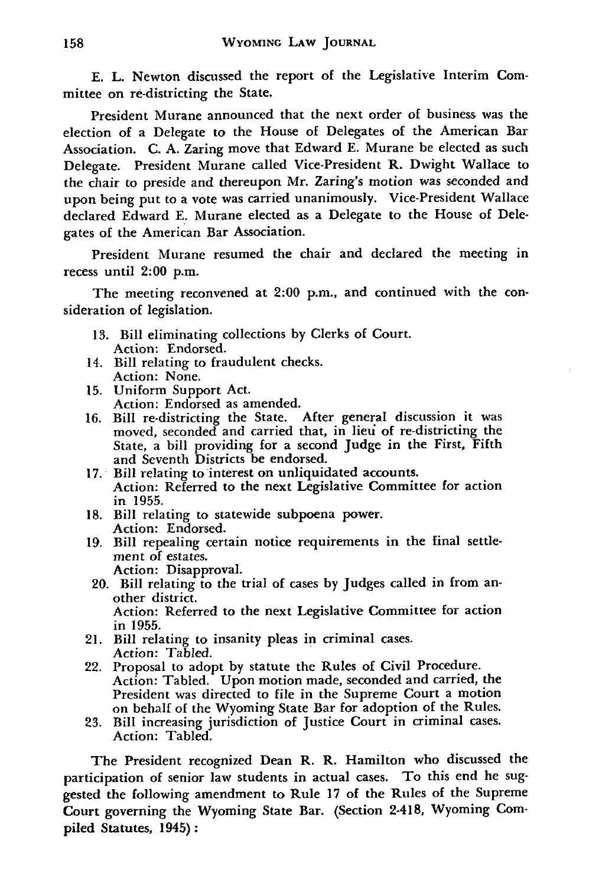**E.** L. Newton discussed the report of the Legislative Interim Committee on re-districting the State.

President Murane announced that the next order of business was the election of a Delegate to the House of Delegates of the American Bar Association. **C. A.** Zaring move that Edward **E.** Murane be elected as such Delegate. President Murane called Vice-President R. Dwight Wallace to the chair to preside and thereupon Mr. Zaring's motion was seconded and upon being put to a vote was carried unanimously. Vice-President Wallace declared Edward **E.** Murane elected as a Delegate to the House of Delegates of the American Bar Association.

President Murane resumed the chair and declared the meeting in recess until 2:00 p.m.

The meeting reconvened at 2:00 p.m., and continued with the consideration of legislation.

- **13.** Bill eliminating collections by Clerks of Court. Action: Endorsed.
- 14. Bill relating to fraudulent checks. Action: None.
- **15.** Uniform Support Act. Action: Endorsed as amended.
- **16.** Bill re-districting the State. After general discussion it was moved, seconded and carried that, in lieu of re-districting the State, a bill providing for a second Judge in the First, Fifth and Seventh Districts be endorsed.
- **17.** Bill relating to interest on unliquidated accounts. Action: Referred to the next Legislative Committee for action in 1955.
- 18. Bill relating to statewide subpoena power. Action: Endorsed.
- 19. Bill repealing certain notice requirements in the final settlement of estates. Action: Disapproval.
- 20. Bill relating to the trial of cases by Judges called in from another district. Action: Referred to the next Legislative Committee for action in 1955.
- 21. Bill relating to insanity pleas in criminal cases. Action: Tabled.
- 22. Proposal to adopt by statute the Rules of Civil Procedure. Action: Tabled. Upon motion made, seconded and carried, the President was directed to file in the Supreme Court a motion on behalf of the Wyoming State Bar for adoption of the Rules.
- 23. Bill increasing jurisdiction of Justice Court in criminal cases. Action: Tabled.

The President recognized Dean R. R. Hamilton who discussed the participation of senior law students in actual cases. To this end he suggested the following amendment to Rule 17 of the Rules of the Supreme Court governing the Wyoming State Bar. (Section 2-418, Wyoming Compiled Statutes, 1945):